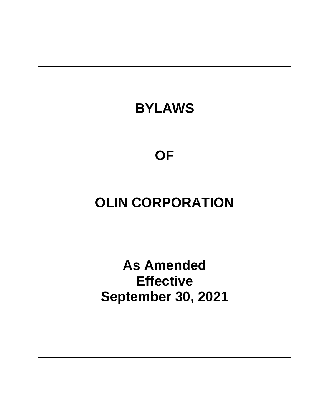## **BYLAWS**

**\_\_\_\_\_\_\_\_\_\_\_\_\_\_\_\_\_\_\_\_\_\_\_\_**

**OF**

# **OLIN CORPORATION**

**As Amended Effective September 30, 2021**

**\_\_\_\_\_\_\_\_\_\_\_\_\_\_\_\_\_\_\_\_\_\_\_\_**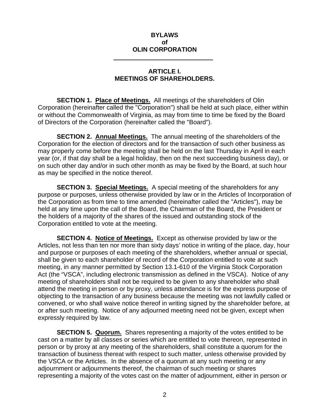### **BYLAWS of OLIN CORPORATION**

#### **ARTICLE I. MEETINGS OF SHAREHOLDERS.**

**SECTION 1. Place of Meetings.** All meetings of the shareholders of Olin Corporation (hereinafter called the "Corporation") shall be held at such place, either within or without the Commonwealth of Virginia, as may from time to time be fixed by the Board of Directors of the Corporation (hereinafter called the "Board").

**SECTION 2. Annual Meetings.** The annual meeting of the shareholders of the Corporation for the election of directors and for the transaction of such other business as may properly come before the meeting shall be held on the last Thursday in April in each year (or, if that day shall be a legal holiday, then on the next succeeding business day), or on such other day and/or in such other month as may be fixed by the Board, at such hour as may be specified in the notice thereof.

**SECTION 3. Special Meetings.** A special meeting of the shareholders for any purpose or purposes, unless otherwise provided by law or in the Articles of Incorporation of the Corporation as from time to time amended (hereinafter called the "Articles"), may be held at any time upon the call of the Board, the Chairman of the Board, the President or the holders of a majority of the shares of the issued and outstanding stock of the Corporation entitled to vote at the meeting.

**SECTION 4. Notice of Meetings.** Except as otherwise provided by law or the Articles, not less than ten nor more than sixty days' notice in writing of the place, day, hour and purpose or purposes of each meeting of the shareholders, whether annual or special, shall be given to each shareholder of record of the Corporation entitled to vote at such meeting, in any manner permitted by Section 13.1-610 of the Virginia Stock Corporation Act (the "VSCA", including electronic transmission as defined in the VSCA). Notice of any meeting of shareholders shall not be required to be given to any shareholder who shall attend the meeting in person or by proxy, unless attendance is for the express purpose of objecting to the transaction of any business because the meeting was not lawfully called or convened, or who shall waive notice thereof in writing signed by the shareholder before, at or after such meeting. Notice of any adjourned meeting need not be given, except when expressly required by law.

**SECTION 5. Quorum.** Shares representing a majority of the votes entitled to be cast on a matter by all classes or series which are entitled to vote thereon, represented in person or by proxy at any meeting of the shareholders, shall constitute a quorum for the transaction of business thereat with respect to such matter, unless otherwise provided by the VSCA or the Articles. In the absence of a quorum at any such meeting or any adjournment or adjournments thereof, the chairman of such meeting or shares representing a majority of the votes cast on the matter of adjournment, either in person or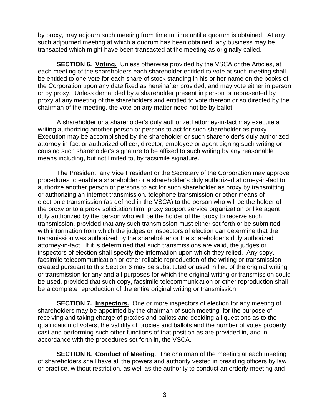by proxy, may adjourn such meeting from time to time until a quorum is obtained. At any such adjourned meeting at which a quorum has been obtained, any business may be transacted which might have been transacted at the meeting as originally called.

**SECTION 6. Voting.** Unless otherwise provided by the VSCA or the Articles, at each meeting of the shareholders each shareholder entitled to vote at such meeting shall be entitled to one vote for each share of stock standing in his or her name on the books of the Corporation upon any date fixed as hereinafter provided, and may vote either in person or by proxy. Unless demanded by a shareholder present in person or represented by proxy at any meeting of the shareholders and entitled to vote thereon or so directed by the chairman of the meeting, the vote on any matter need not be by ballot.

A shareholder or a shareholder's duly authorized attorney-in-fact may execute a writing authorizing another person or persons to act for such shareholder as proxy. Execution may be accomplished by the shareholder or such shareholder's duly authorized attorney-in-fact or authorized officer, director, employee or agent signing such writing or causing such shareholder's signature to be affixed to such writing by any reasonable means including, but not limited to, by facsimile signature.

The President, any Vice President or the Secretary of the Corporation may approve procedures to enable a shareholder or a shareholder's duly authorized attorney-in-fact to authorize another person or persons to act for such shareholder as proxy by transmitting or authorizing an internet transmission, telephone transmission or other means of electronic transmission (as defined in the VSCA) to the person who will be the holder of the proxy or to a proxy solicitation firm, proxy support service organization or like agent duly authorized by the person who will be the holder of the proxy to receive such transmission, provided that any such transmission must either set forth or be submitted with information from which the judges or inspectors of election can determine that the transmission was authorized by the shareholder or the shareholder's duly authorized attorney-in-fact. If it is determined that such transmissions are valid, the judges or inspectors of election shall specify the information upon which they relied. Any copy, facsimile telecommunication or other reliable reproduction of the writing or transmission created pursuant to this Section 6 may be substituted or used in lieu of the original writing or transmission for any and all purposes for which the original writing or transmission could be used, provided that such copy, facsimile telecommunication or other reproduction shall be a complete reproduction of the entire original writing or transmission.

**SECTION 7. Inspectors.** One or more inspectors of election for any meeting of shareholders may be appointed by the chairman of such meeting, for the purpose of receiving and taking charge of proxies and ballots and deciding all questions as to the qualification of voters, the validity of proxies and ballots and the number of votes properly cast and performing such other functions of that position as are provided in, and in accordance with the procedures set forth in, the VSCA.

**SECTION 8. Conduct of Meeting.** The chairman of the meeting at each meeting of shareholders shall have all the powers and authority vested in presiding officers by law or practice, without restriction, as well as the authority to conduct an orderly meeting and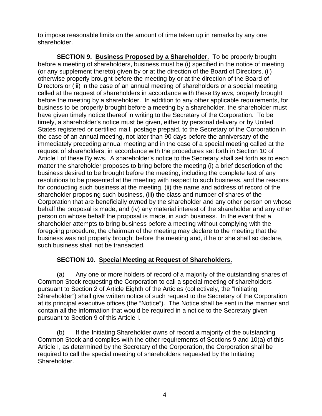to impose reasonable limits on the amount of time taken up in remarks by any one shareholder.

**SECTION 9. Business Proposed by a Shareholder.** To be properly brought before a meeting of shareholders, business must be (i) specified in the notice of meeting (or any supplement thereto) given by or at the direction of the Board of Directors, (ii) otherwise properly brought before the meeting by or at the direction of the Board of Directors or (iii) in the case of an annual meeting of shareholders or a special meeting called at the request of shareholders in accordance with these Bylaws, properly brought before the meeting by a shareholder. In addition to any other applicable requirements, for business to be properly brought before a meeting by a shareholder, the shareholder must have given timely notice thereof in writing to the Secretary of the Corporation. To be timely, a shareholder's notice must be given, either by personal delivery or by United States registered or certified mail, postage prepaid, to the Secretary of the Corporation in the case of an annual meeting, not later than 90 days before the anniversary of the immediately preceding annual meeting and in the case of a special meeting called at the request of shareholders, in accordance with the procedures set forth in Section 10 of Article I of these Bylaws. A shareholder's notice to the Secretary shall set forth as to each matter the shareholder proposes to bring before the meeting (i) a brief description of the business desired to be brought before the meeting, including the complete text of any resolutions to be presented at the meeting with respect to such business, and the reasons for conducting such business at the meeting, (ii) the name and address of record of the shareholder proposing such business, (iii) the class and number of shares of the Corporation that are beneficially owned by the shareholder and any other person on whose behalf the proposal is made, and (iv) any material interest of the shareholder and any other person on whose behalf the proposal is made, in such business. In the event that a shareholder attempts to bring business before a meeting without complying with the foregoing procedure, the chairman of the meeting may declare to the meeting that the business was not properly brought before the meeting and, if he or she shall so declare, such business shall not be transacted.

## **SECTION 10. Special Meeting at Request of Shareholders.**

(a) Any one or more holders of record of a majority of the outstanding shares of Common Stock requesting the Corporation to call a special meeting of shareholders pursuant to Section 2 of Article Eighth of the Articles (collectively, the "Initiating Shareholder") shall give written notice of such request to the Secretary of the Corporation at its principal executive offices (the "Notice"). The Notice shall be sent in the manner and contain all the information that would be required in a notice to the Secretary given pursuant to Section 9 of this Article I.

(b) If the Initiating Shareholder owns of record a majority of the outstanding Common Stock and complies with the other requirements of Sections 9 and 10(a) of this Article I, as determined by the Secretary of the Corporation, the Corporation shall be required to call the special meeting of shareholders requested by the Initiating Shareholder.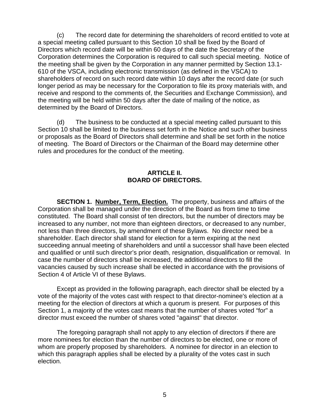(c) The record date for determining the shareholders of record entitled to vote at a special meeting called pursuant to this Section 10 shall be fixed by the Board of Directors which record date will be within 60 days of the date the Secretary of the Corporation determines the Corporation is required to call such special meeting. Notice of the meeting shall be given by the Corporation in any manner permitted by Section 13.1- 610 of the VSCA, including electronic transmission (as defined in the VSCA) to shareholders of record on such record date within 10 days after the record date (or such longer period as may be necessary for the Corporation to file its proxy materials with, and receive and respond to the comments of, the Securities and Exchange Commission), and the meeting will be held within 50 days after the date of mailing of the notice, as determined by the Board of Directors.

(d) The business to be conducted at a special meeting called pursuant to this Section 10 shall be limited to the business set forth in the Notice and such other business or proposals as the Board of Directors shall determine and shall be set forth in the notice of meeting. The Board of Directors or the Chairman of the Board may determine other rules and procedures for the conduct of the meeting.

## **ARTICLE II. BOARD OF DIRECTORS.**

**SECTION 1. Number, Term, Election.** The property, business and affairs of the Corporation shall be managed under the direction of the Board as from time to time constituted. The Board shall consist of ten directors, but the number of directors may be increased to any number, not more than eighteen directors, or decreased to any number, not less than three directors, by amendment of these Bylaws. No director need be a shareholder. Each director shall stand for election for a term expiring at the next succeeding annual meeting of shareholders and until a successor shall have been elected and qualified or until such director's prior death, resignation, disqualification or removal. In case the number of directors shall be increased, the additional directors to fill the vacancies caused by such increase shall be elected in accordance with the provisions of Section 4 of Article VI of these Bylaws.

Except as provided in the following paragraph, each director shall be elected by a vote of the majority of the votes cast with respect to that director-nominee's election at a meeting for the election of directors at which a quorum is present. For purposes of this Section 1, a majority of the votes cast means that the number of shares voted "for" a director must exceed the number of shares voted "against" that director.

The foregoing paragraph shall not apply to any election of directors if there are more nominees for election than the number of directors to be elected, one or more of whom are properly proposed by shareholders. A nominee for director in an election to which this paragraph applies shall be elected by a plurality of the votes cast in such election.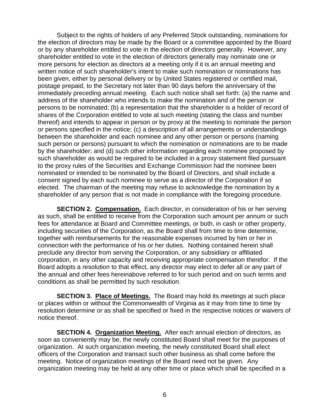Subject to the rights of holders of any Preferred Stock outstanding, nominations for the election of directors may be made by the Board or a committee appointed by the Board or by any shareholder entitled to vote in the election of directors generally. However, any shareholder entitled to vote in the election of directors generally may nominate one or more persons for election as directors at a meeting only if it is an annual meeting and written notice of such shareholder's intent to make such nomination or nominations has been given, either by personal delivery or by United States registered or certified mail, postage prepaid, to the Secretary not later than 90 days before the anniversary of the immediately preceding annual meeting. Each such notice shall set forth: (a) the name and address of the shareholder who intends to make the nomination and of the person or persons to be nominated; (b) a representation that the shareholder is a holder of record of shares of the Corporation entitled to vote at such meeting (stating the class and number thereof) and intends to appear in person or by proxy at the meeting to nominate the person or persons specified in the notice; (c) a description of all arrangements or understandings between the shareholder and each nominee and any other person or persons (naming such person or persons) pursuant to which the nomination or nominations are to be made by the shareholder; and (d) such other information regarding each nominee proposed by such shareholder as would be required to be included in a proxy statement filed pursuant to the proxy rules of the Securities and Exchange Commission had the nominee been nominated or intended to be nominated by the Board of Directors, and shall include a consent signed by each such nominee to serve as a director of the Corporation if so elected. The chairman of the meeting may refuse to acknowledge the nomination by a shareholder of any person that is not made in compliance with the foregoing procedure.

**SECTION 2. Compensation.** Each director, in consideration of his or her serving as such, shall be entitled to receive from the Corporation such amount per annum or such fees for attendance at Board and Committee meetings, or both, in cash or other property, including securities of the Corporation, as the Board shall from time to time determine, together with reimbursements for the reasonable expenses incurred by him or her in connection with the performance of his or her duties. Nothing contained herein shall preclude any director from serving the Corporation, or any subsidiary or affiliated corporation, in any other capacity and receiving appropriate compensation therefor. If the Board adopts a resolution to that effect, any director may elect to defer all or any part of the annual and other fees hereinabove referred to for such period and on such terms and conditions as shall be permitted by such resolution.

**SECTION 3. Place of Meetings.** The Board may hold its meetings at such place or places within or without the Commonwealth of Virginia as it may from time to time by resolution determine or as shall be specified or fixed in the respective notices or waivers of notice thereof.

**SECTION 4. Organization Meeting.** After each annual election of directors, as soon as conveniently may be, the newly constituted Board shall meet for the purposes of organization. At such organization meeting, the newly constituted Board shall elect officers of the Corporation and transact such other business as shall come before the meeting. Notice of organization meetings of the Board need not be given. Any organization meeting may be held at any other time or place which shall be specified in a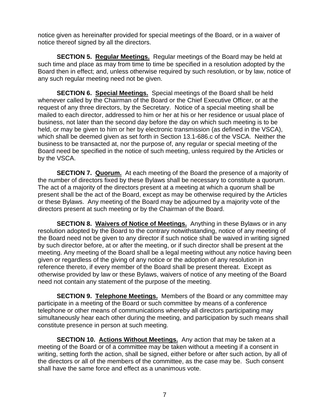notice given as hereinafter provided for special meetings of the Board, or in a waiver of notice thereof signed by all the directors.

**SECTION 5. Regular Meetings.** Regular meetings of the Board may be held at such time and place as may from time to time be specified in a resolution adopted by the Board then in effect; and, unless otherwise required by such resolution, or by law, notice of any such regular meeting need not be given.

**SECTION 6. Special Meetings.** Special meetings of the Board shall be held whenever called by the Chairman of the Board or the Chief Executive Officer, or at the request of any three directors, by the Secretary. Notice of a special meeting shall be mailed to each director, addressed to him or her at his or her residence or usual place of business, not later than the second day before the day on which such meeting is to be held, or may be given to him or her by electronic transmission (as defined in the VSCA), which shall be deemed given as set forth in Section 13.1-686.c of the VSCA. Neither the business to be transacted at, nor the purpose of, any regular or special meeting of the Board need be specified in the notice of such meeting, unless required by the Articles or by the VSCA.

**SECTION 7. Quorum.** At each meeting of the Board the presence of a majority of the number of directors fixed by these Bylaws shall be necessary to constitute a quorum. The act of a majority of the directors present at a meeting at which a quorum shall be present shall be the act of the Board, except as may be otherwise required by the Articles or these Bylaws. Any meeting of the Board may be adjourned by a majority vote of the directors present at such meeting or by the Chairman of the Board.

**SECTION 8. Waivers of Notice of Meetings.** Anything in these Bylaws or in any resolution adopted by the Board to the contrary notwithstanding, notice of any meeting of the Board need not be given to any director if such notice shall be waived in writing signed by such director before, at or after the meeting, or if such director shall be present at the meeting. Any meeting of the Board shall be a legal meeting without any notice having been given or regardless of the giving of any notice or the adoption of any resolution in reference thereto, if every member of the Board shall be present thereat. Except as otherwise provided by law or these Bylaws, waivers of notice of any meeting of the Board need not contain any statement of the purpose of the meeting.

**SECTION 9. Telephone Meetings.** Members of the Board or any committee may participate in a meeting of the Board or such committee by means of a conference telephone or other means of communications whereby all directors participating may simultaneously hear each other during the meeting, and participation by such means shall constitute presence in person at such meeting.

**SECTION 10. Actions Without Meetings.** Any action that may be taken at a meeting of the Board or of a committee may be taken without a meeting if a consent in writing, setting forth the action, shall be signed, either before or after such action, by all of the directors or all of the members of the committee, as the case may be. Such consent shall have the same force and effect as a unanimous vote.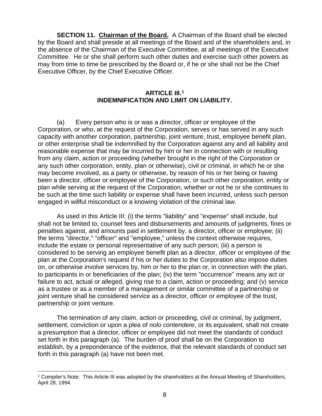**SECTION 11. Chairman of the Board.** A Chairman of the Board shall be elected by the Board and shall preside at all meetings of the Board and of the shareholders and, in the absence of the Chairman of the Executive Committee, at all meetings of the Executive Committee. He or she shall perform such other duties and exercise such other powers as may from time to time be prescribed by the Board or, if he or she shall not be the Chief Executive Officer, by the Chief Executive Officer.

#### **ARTICLE III.[1](#page-7-0) INDEMNIFICATION AND LIMIT ON LIABILITY.**

(a) Every person who is or was a director, officer or employee of the Corporation, or who, at the request of the Corporation, serves or has served in any such capacity with another corporation, partnership, joint venture, trust, employee benefit plan, or other enterprise shall be indemnified by the Corporation against any and all liability and reasonable expense that may be incurred by him or her in connection with or resulting from any claim, action or proceeding (whether brought in the right of the Corporation or any such other corporation, entity, plan or otherwise), civil or criminal, in which he or she may become involved, as a party or otherwise, by reason of his or her being or having been a director, officer or employee of the Corporation, or such other corporation, entity or plan while serving at the request of the Corporation, whether or not he or she continues to be such at the time such liability or expense shall have been incurred, unless such person engaged in willful misconduct or a knowing violation of the criminal law.

As used in this Article III: (i) the terms "liability" and "expense" shall include, but shall not be limited to, counsel fees and disbursements and amounts of judgments, fines or penalties against, and amounts paid in settlement by, a director, officer or employee; (ii) the terms "director," "officer" and "employee," unless the context otherwise requires, include the estate or personal representative of any such person; (iii) a person is considered to be serving an employee benefit plan as a director, officer or employee of the plan at the Corporation's request if his or her duties to the Corporation also impose duties on, or otherwise involve services by, him or her to the plan or, in connection with the plan, to participants in or beneficiaries of the plan; (iv) the term "occurrence" means any act or failure to act, actual or alleged, giving rise to a claim, action or proceeding; and (v) service as a trustee or as a member of a management or similar committee of a partnership or joint venture shall be considered service as a director, officer or employee of the trust, partnership or joint venture.

The termination of any claim, action or proceeding, civil or criminal, by judgment, settlement, conviction or upon a plea of *nolo contendere*, or its equivalent, shall not create a presumption that a director, officer or employee did not meet the standards of conduct set forth in this paragraph (a). The burden of proof shall be on the Corporation to establish, by a preponderance of the evidence, that the relevant standards of conduct set forth in this paragraph (a) have not been met.

<span id="page-7-0"></span><sup>1</sup> Compiler's Note: This Article III was adopted by the shareholders at the Annual Meeting of Shareholders, April 28, 1994.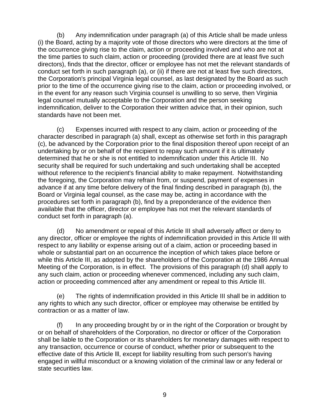(b) Any indemnification under paragraph (a) of this Article shall be made unless (i) the Board, acting by a majority vote of those directors who were directors at the time of the occurrence giving rise to the claim, action or proceeding involved and who are not at the time parties to such claim, action or proceeding (provided there are at least five such directors), finds that the director, officer or employee has not met the relevant standards of conduct set forth in such paragraph (a), or (ii) if there are not at least five such directors, the Corporation's principal Virginia legal counsel, as last designated by the Board as such prior to the time of the occurrence giving rise to the claim, action or proceeding involved, or in the event for any reason such Virginia counsel is unwilling to so serve, then Virginia legal counsel mutually acceptable to the Corporation and the person seeking indemnification, deliver to the Corporation their written advice that, in their opinion, such standards have not been met.

(c) Expenses incurred with respect to any claim, action or proceeding of the character described in paragraph (a) shall, except as otherwise set forth in this paragraph (c), be advanced by the Corporation prior to the final disposition thereof upon receipt of an undertaking by or on behalf of the recipient to repay such amount if it is ultimately determined that he or she is not entitled to indemnification under this Article III. No security shall be required for such undertaking and such undertaking shall be accepted without reference to the recipient's financial ability to make repayment. Notwithstanding the foregoing, the Corporation may refrain from, or suspend, payment of expenses in advance if at any time before delivery of the final finding described in paragraph (b), the Board or Virginia legal counsel, as the case may be, acting in accordance with the procedures set forth in paragraph (b), find by a preponderance of the evidence then available that the officer, director or employee has not met the relevant standards of conduct set forth in paragraph (a).

(d) No amendment or repeal of this Article III shall adversely affect or deny to any director, officer or employee the rights of indemnification provided in this Article III with respect to any liability or expense arising out of a claim, action or proceeding based in whole or substantial part on an occurrence the inception of which takes place before or while this Article III, as adopted by the shareholders of the Corporation at the 1986 Annual Meeting of the Corporation, is in effect. The provisions of this paragraph (d) shall apply to any such claim, action or proceeding whenever commenced, including any such claim, action or proceeding commenced after any amendment or repeal to this Article III.

(e) The rights of indemnification provided in this Article III shall be in addition to any rights to which any such director, officer or employee may otherwise be entitled by contraction or as a matter of law.

(f) In any proceeding brought by or in the right of the Corporation or brought by or on behalf of shareholders of the Corporation, no director or officer of the Corporation shall be liable to the Corporation or its shareholders for monetary damages with respect to any transaction, occurrence or course of conduct, whether prior or subsequent to the effective date of this Article lll, except for liability resulting from such person's having engaged in willful misconduct or a knowing violation of the criminal law or any federal or state securities law.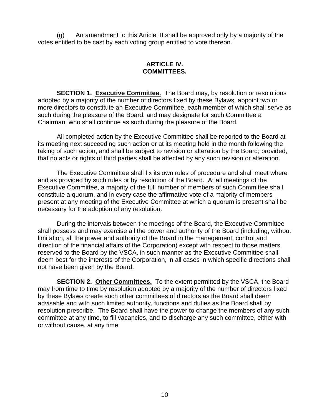(g) An amendment to this Article III shall be approved only by a majority of the votes entitled to be cast by each voting group entitled to vote thereon.

#### **ARTICLE IV. COMMITTEES.**

**SECTION 1. Executive Committee.** The Board may, by resolution or resolutions adopted by a majority of the number of directors fixed by these Bylaws, appoint two or more directors to constitute an Executive Committee, each member of which shall serve as such during the pleasure of the Board, and may designate for such Committee a Chairman, who shall continue as such during the pleasure of the Board.

All completed action by the Executive Committee shall be reported to the Board at its meeting next succeeding such action or at its meeting held in the month following the taking of such action, and shall be subject to revision or alteration by the Board; provided, that no acts or rights of third parties shall be affected by any such revision or alteration.

The Executive Committee shall fix its own rules of procedure and shall meet where and as provided by such rules or by resolution of the Board. At all meetings of the Executive Committee, a majority of the full number of members of such Committee shall constitute a quorum, and in every case the affirmative vote of a majority of members present at any meeting of the Executive Committee at which a quorum is present shall be necessary for the adoption of any resolution.

During the intervals between the meetings of the Board, the Executive Committee shall possess and may exercise all the power and authority of the Board (including, without limitation, all the power and authority of the Board in the management, control and direction of the financial affairs of the Corporation) except with respect to those matters reserved to the Board by the VSCA, in such manner as the Executive Committee shall deem best for the interests of the Corporation, in all cases in which specific directions shall not have been given by the Board.

**SECTION 2. Other Committees.** To the extent permitted by the VSCA, the Board may from time to time by resolution adopted by a majority of the number of directors fixed by these Bylaws create such other committees of directors as the Board shall deem advisable and with such limited authority, functions and duties as the Board shall by resolution prescribe. The Board shall have the power to change the members of any such committee at any time, to fill vacancies, and to discharge any such committee, either with or without cause, at any time.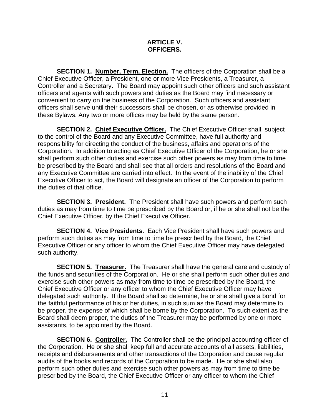#### **ARTICLE V. OFFICERS.**

**SECTION 1. Number, Term, Election.** The officers of the Corporation shall be a Chief Executive Officer, a President, one or more Vice Presidents, a Treasurer, a Controller and a Secretary. The Board may appoint such other officers and such assistant officers and agents with such powers and duties as the Board may find necessary or convenient to carry on the business of the Corporation. Such officers and assistant officers shall serve until their successors shall be chosen, or as otherwise provided in these Bylaws. Any two or more offices may be held by the same person.

**SECTION 2. Chief Executive Officer.** The Chief Executive Officer shall, subject to the control of the Board and any Executive Committee, have full authority and responsibility for directing the conduct of the business, affairs and operations of the Corporation. In addition to acting as Chief Executive Officer of the Corporation, he or she shall perform such other duties and exercise such other powers as may from time to time be prescribed by the Board and shall see that all orders and resolutions of the Board and any Executive Committee are carried into effect. In the event of the inability of the Chief Executive Officer to act, the Board will designate an officer of the Corporation to perform the duties of that office.

**SECTION 3. President.** The President shall have such powers and perform such duties as may from time to time be prescribed by the Board or, if he or she shall not be the Chief Executive Officer, by the Chief Executive Officer.

**SECTION 4. Vice Presidents.** Each Vice President shall have such powers and perform such duties as may from time to time be prescribed by the Board, the Chief Executive Officer or any officer to whom the Chief Executive Officer may have delegated such authority.

**SECTION 5. Treasurer.** The Treasurer shall have the general care and custody of the funds and securities of the Corporation. He or she shall perform such other duties and exercise such other powers as may from time to time be prescribed by the Board, the Chief Executive Officer or any officer to whom the Chief Executive Officer may have delegated such authority. If the Board shall so determine, he or she shall give a bond for the faithful performance of his or her duties, in such sum as the Board may determine to be proper, the expense of which shall be borne by the Corporation. To such extent as the Board shall deem proper, the duties of the Treasurer may be performed by one or more assistants, to be appointed by the Board.

**SECTION 6. Controller.** The Controller shall be the principal accounting officer of the Corporation. He or she shall keep full and accurate accounts of all assets, liabilities, receipts and disbursements and other transactions of the Corporation and cause regular audits of the books and records of the Corporation to be made. He or she shall also perform such other duties and exercise such other powers as may from time to time be prescribed by the Board, the Chief Executive Officer or any officer to whom the Chief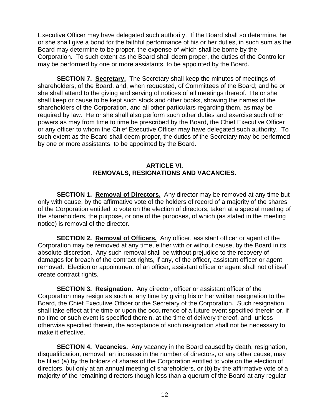Executive Officer may have delegated such authority. If the Board shall so determine, he or she shall give a bond for the faithful performance of his or her duties, in such sum as the Board may determine to be proper, the expense of which shall be borne by the Corporation. To such extent as the Board shall deem proper, the duties of the Controller may be performed by one or more assistants, to be appointed by the Board.

**SECTION 7. Secretary.** The Secretary shall keep the minutes of meetings of shareholders, of the Board, and, when requested, of Committees of the Board; and he or she shall attend to the giving and serving of notices of all meetings thereof. He or she shall keep or cause to be kept such stock and other books, showing the names of the shareholders of the Corporation, and all other particulars regarding them, as may be required by law. He or she shall also perform such other duties and exercise such other powers as may from time to time be prescribed by the Board, the Chief Executive Officer or any officer to whom the Chief Executive Officer may have delegated such authority. To such extent as the Board shall deem proper, the duties of the Secretary may be performed by one or more assistants, to be appointed by the Board.

#### **ARTICLE VI. REMOVALS, RESIGNATIONS AND VACANCIES.**

**SECTION 1. Removal of Directors.** Any director may be removed at any time but only with cause, by the affirmative vote of the holders of record of a majority of the shares of the Corporation entitled to vote on the election of directors, taken at a special meeting of the shareholders, the purpose, or one of the purposes, of which (as stated in the meeting notice) is removal of the director.

**SECTION 2. Removal of Officers.** Any officer, assistant officer or agent of the Corporation may be removed at any time, either with or without cause, by the Board in its absolute discretion. Any such removal shall be without prejudice to the recovery of damages for breach of the contract rights, if any, of the officer, assistant officer or agent removed. Election or appointment of an officer, assistant officer or agent shall not of itself create contract rights.

**SECTION 3. Resignation.** Any director, officer or assistant officer of the Corporation may resign as such at any time by giving his or her written resignation to the Board, the Chief Executive Officer or the Secretary of the Corporation. Such resignation shall take effect at the time or upon the occurrence of a future event specified therein or, if no time or such event is specified therein, at the time of delivery thereof, and, unless otherwise specified therein, the acceptance of such resignation shall not be necessary to make it effective.

**SECTION 4. Vacancies.** Any vacancy in the Board caused by death, resignation, disqualification, removal, an increase in the number of directors, or any other cause, may be filled (a) by the holders of shares of the Corporation entitled to vote on the election of directors, but only at an annual meeting of shareholders, or (b) by the affirmative vote of a majority of the remaining directors though less than a quorum of the Board at any regular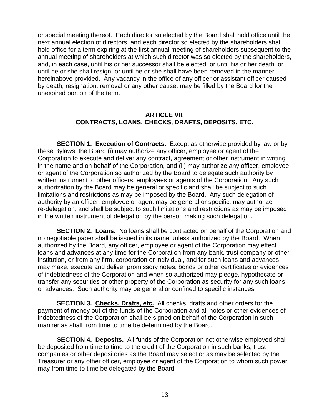or special meeting thereof. Each director so elected by the Board shall hold office until the next annual election of directors, and each director so elected by the shareholders shall hold office for a term expiring at the first annual meeting of shareholders subsequent to the annual meeting of shareholders at which such director was so elected by the shareholders, and, in each case, until his or her successor shall be elected, or until his or her death, or until he or she shall resign, or until he or she shall have been removed in the manner hereinabove provided. Any vacancy in the office of any officer or assistant officer caused by death, resignation, removal or any other cause, may be filled by the Board for the unexpired portion of the term.

### **ARTICLE VII. CONTRACTS, LOANS, CHECKS, DRAFTS, DEPOSITS, ETC.**

**SECTION 1. Execution of Contracts.** Except as otherwise provided by law or by these Bylaws, the Board (i) may authorize any officer, employee or agent of the Corporation to execute and deliver any contract, agreement or other instrument in writing in the name and on behalf of the Corporation, and (ii) may authorize any officer, employee or agent of the Corporation so authorized by the Board to delegate such authority by written instrument to other officers, employees or agents of the Corporation. Any such authorization by the Board may be general or specific and shall be subject to such limitations and restrictions as may be imposed by the Board. Any such delegation of authority by an officer, employee or agent may be general or specific, may authorize re-delegation, and shall be subject to such limitations and restrictions as may be imposed in the written instrument of delegation by the person making such delegation.

**SECTION 2. Loans.** No loans shall be contracted on behalf of the Corporation and no negotiable paper shall be issued in its name unless authorized by the Board. When authorized by the Board, any officer, employee or agent of the Corporation may effect loans and advances at any time for the Corporation from any bank, trust company or other institution, or from any firm, corporation or individual, and for such loans and advances may make, execute and deliver promissory notes, bonds or other certificates or evidences of indebtedness of the Corporation and when so authorized may pledge, hypothecate or transfer any securities or other property of the Corporation as security for any such loans or advances. Such authority may be general or confined to specific instances.

**SECTION 3. Checks, Drafts, etc.** All checks, drafts and other orders for the payment of money out of the funds of the Corporation and all notes or other evidences of indebtedness of the Corporation shall be signed on behalf of the Corporation in such manner as shall from time to time be determined by the Board.

**SECTION 4. Deposits.** All funds of the Corporation not otherwise employed shall be deposited from time to time to the credit of the Corporation in such banks, trust companies or other depositories as the Board may select or as may be selected by the Treasurer or any other officer, employee or agent of the Corporation to whom such power may from time to time be delegated by the Board.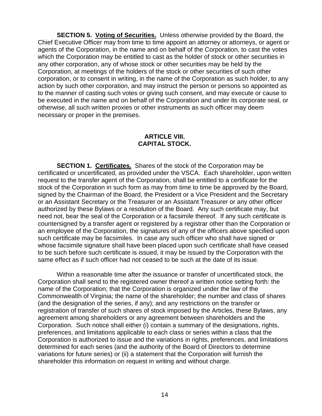**SECTION 5. Voting of Securities.** Unless otherwise provided by the Board, the Chief Executive Officer may from time to time appoint an attorney or attorneys, or agent or agents of the Corporation, in the name and on behalf of the Corporation, to cast the votes which the Corporation may be entitled to cast as the holder of stock or other securities in any other corporation, any of whose stock or other securities may be held by the Corporation, at meetings of the holders of the stock or other securities of such other corporation, or to consent in writing, in the name of the Corporation as such holder, to any action by such other corporation, and may instruct the person or persons so appointed as to the manner of casting such votes or giving such consent, and may execute or cause to be executed in the name and on behalf of the Corporation and under its corporate seal, or otherwise, all such written proxies or other instruments as such officer may deem necessary or proper in the premises.

### **ARTICLE VIII. CAPITAL STOCK.**

**SECTION 1. Certificates.** Shares of the stock of the Corporation may be certificated or uncertificated, as provided under the VSCA. Each shareholder, upon written request to the transfer agent of the Corporation, shall be entitled to a certificate for the stock of the Corporation in such form as may from time to time be approved by the Board, signed by the Chairman of the Board, the President or a Vice President and the Secretary or an Assistant Secretary or the Treasurer or an Assistant Treasurer or any other officer authorized by these Bylaws or a resolution of the Board. Any such certificate may, but need not, bear the seal of the Corporation or a facsimile thereof. If any such certificate is countersigned by a transfer agent or registered by a registrar other than the Corporation or an employee of the Corporation, the signatures of any of the officers above specified upon such certificate may be facsimiles. In case any such officer who shall have signed or whose facsimile signature shall have been placed upon such certificate shall have ceased to be such before such certificate is issued, it may be issued by the Corporation with the same effect as if such officer had not ceased to be such at the date of its issue.

Within a reasonable time after the issuance or transfer of uncertificated stock, the Corporation shall send to the registered owner thereof a written notice setting forth: the name of the Corporation; that the Corporation is organized under the law of the Commonwealth of Virginia; the name of the shareholder; the number and class of shares (and the designation of the series, if any); and any restrictions on the transfer or registration of transfer of such shares of stock imposed by the Articles, these Bylaws, any agreement among shareholders or any agreement between shareholders and the Corporation. Such notice shall either (i) contain a summary of the designations, rights, preferences, and limitations applicable to each class or series within a class that the Corporation is authorized to issue and the variations in rights, preferences, and limitations determined for each series (and the authority of the Board of Directors to determine variations for future series) or (ii) a statement that the Corporation will furnish the shareholder this information on request in writing and without charge.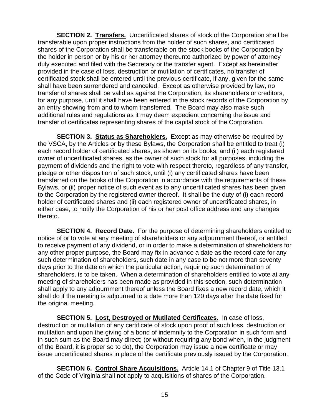**SECTION 2. Transfers.** Uncertificated shares of stock of the Corporation shall be transferable upon proper instructions from the holder of such shares, and certificated shares of the Corporation shall be transferable on the stock books of the Corporation by the holder in person or by his or her attorney thereunto authorized by power of attorney duly executed and filed with the Secretary or the transfer agent. Except as hereinafter provided in the case of loss, destruction or mutilation of certificates, no transfer of certificated stock shall be entered until the previous certificate, if any, given for the same shall have been surrendered and canceled. Except as otherwise provided by law, no transfer of shares shall be valid as against the Corporation, its shareholders or creditors, for any purpose, until it shall have been entered in the stock records of the Corporation by an entry showing from and to whom transferred. The Board may also make such additional rules and regulations as it may deem expedient concerning the issue and transfer of certificates representing shares of the capital stock of the Corporation.

**SECTION 3. Status as Shareholders.** Except as may otherwise be required by the VSCA, by the Articles or by these Bylaws, the Corporation shall be entitled to treat (i) each record holder of certificated shares, as shown on its books, and (ii) each registered owner of uncertificated shares, as the owner of such stock for all purposes, including the payment of dividends and the right to vote with respect thereto, regardless of any transfer, pledge or other disposition of such stock, until (i) any certificated shares have been transferred on the books of the Corporation in accordance with the requirements of these Bylaws, or (ii) proper notice of such event as to any uncertificated shares has been given to the Corporation by the registered owner thereof. It shall be the duty of (i) each record holder of certificated shares and (ii) each registered owner of uncertificated shares, in either case, to notify the Corporation of his or her post office address and any changes thereto.

**SECTION 4. Record Date.** For the purpose of determining shareholders entitled to notice of or to vote at any meeting of shareholders or any adjournment thereof, or entitled to receive payment of any dividend, or in order to make a determination of shareholders for any other proper purpose, the Board may fix in advance a date as the record date for any such determination of shareholders, such date in any case to be not more than seventy days prior to the date on which the particular action, requiring such determination of shareholders, is to be taken. When a determination of shareholders entitled to vote at any meeting of shareholders has been made as provided in this section, such determination shall apply to any adjournment thereof unless the Board fixes a new record date, which it shall do if the meeting is adjourned to a date more than 120 days after the date fixed for the original meeting.

**SECTION 5. Lost, Destroyed or Mutilated Certificates.** In case of loss, destruction or mutilation of any certificate of stock upon proof of such loss, destruction or mutilation and upon the giving of a bond of indemnity to the Corporation in such form and in such sum as the Board may direct; (or without requiring any bond when, in the judgment of the Board, it is proper so to do), the Corporation may issue a new certificate or may issue uncertificated shares in place of the certificate previously issued by the Corporation.

**SECTION 6. Control Share Acquisitions.** Article 14.1 of Chapter 9 of Title 13.1 of the Code of Virginia shall not apply to acquisitions of shares of the Corporation.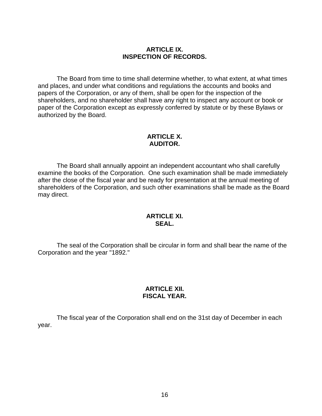#### **ARTICLE IX. INSPECTION OF RECORDS.**

The Board from time to time shall determine whether, to what extent, at what times and places, and under what conditions and regulations the accounts and books and papers of the Corporation, or any of them, shall be open for the inspection of the shareholders, and no shareholder shall have any right to inspect any account or book or paper of the Corporation except as expressly conferred by statute or by these Bylaws or authorized by the Board.

#### **ARTICLE X. AUDITOR.**

The Board shall annually appoint an independent accountant who shall carefully examine the books of the Corporation. One such examination shall be made immediately after the close of the fiscal year and be ready for presentation at the annual meeting of shareholders of the Corporation, and such other examinations shall be made as the Board may direct.

#### **ARTICLE XI. SEAL.**

The seal of the Corporation shall be circular in form and shall bear the name of the Corporation and the year "1892."

#### **ARTICLE XII. FISCAL YEAR.**

The fiscal year of the Corporation shall end on the 31st day of December in each year.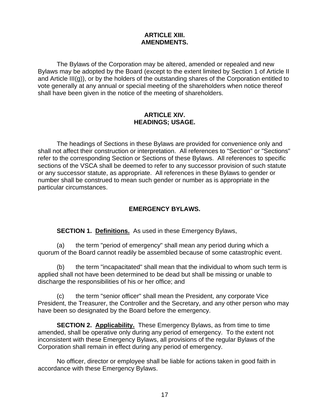#### **ARTICLE XIII. AMENDMENTS.**

The Bylaws of the Corporation may be altered, amended or repealed and new Bylaws may be adopted by the Board (except to the extent limited by Section 1 of Article II and Article III(g)), or by the holders of the outstanding shares of the Corporation entitled to vote generally at any annual or special meeting of the shareholders when notice thereof shall have been given in the notice of the meeting of shareholders.

#### **ARTICLE XIV. HEADINGS; USAGE.**

The headings of Sections in these Bylaws are provided for convenience only and shall not affect their construction or interpretation. All references to "Section" or "Sections" refer to the corresponding Section or Sections of these Bylaws. All references to specific sections of the VSCA shall be deemed to refer to any successor provision of such statute or any successor statute, as appropriate. All references in these Bylaws to gender or number shall be construed to mean such gender or number as is appropriate in the particular circumstances.

## **EMERGENCY BYLAWS.**

**SECTION 1. Definitions.** As used in these Emergency Bylaws,

(a) the term "period of emergency" shall mean any period during which a quorum of the Board cannot readily be assembled because of some catastrophic event.

(b) the term "incapacitated" shall mean that the individual to whom such term is applied shall not have been determined to be dead but shall be missing or unable to discharge the responsibilities of his or her office; and

(c) the term "senior officer" shall mean the President, any corporate Vice President, the Treasurer, the Controller and the Secretary, and any other person who may have been so designated by the Board before the emergency.

**SECTION 2. Applicability.** These Emergency Bylaws, as from time to time amended, shall be operative only during any period of emergency. To the extent not inconsistent with these Emergency Bylaws, all provisions of the regular Bylaws of the Corporation shall remain in effect during any period of emergency.

No officer, director or employee shall be liable for actions taken in good faith in accordance with these Emergency Bylaws.